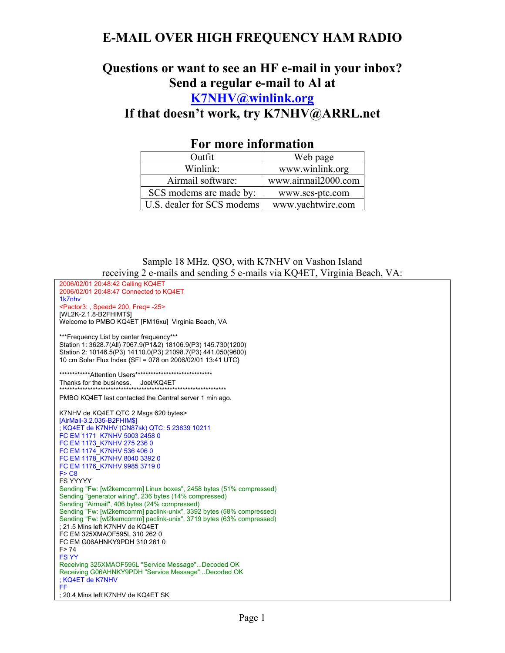# **E-MAIL OVER HIGH FREQUENCY HAM RADIO**

## **Questions or want to see an HF e-mail in your inbox? Send a regular e-mail to Al at K7NHV@winlink.org**

**If that doesn't work, try K7NHV@ARRL.net** 

| 1 VI IIIVI V IIIIVI IIIVIVIV |                     |
|------------------------------|---------------------|
| Outfit                       | Web page            |
| Winlink:                     | www.winlink.org     |
| Airmail software:            | www.airmail2000.com |
| SCS modems are made by:      | www.scs-ptc.com     |
| U.S. dealer for SCS modems   | www.yachtwire.com   |

### **For more information**

Sample 18 MHz. QSO, with K7NHV on Vashon Island receiving 2 e-mails and sending 5 e-mails via KQ4ET, Virginia Beach, VA: